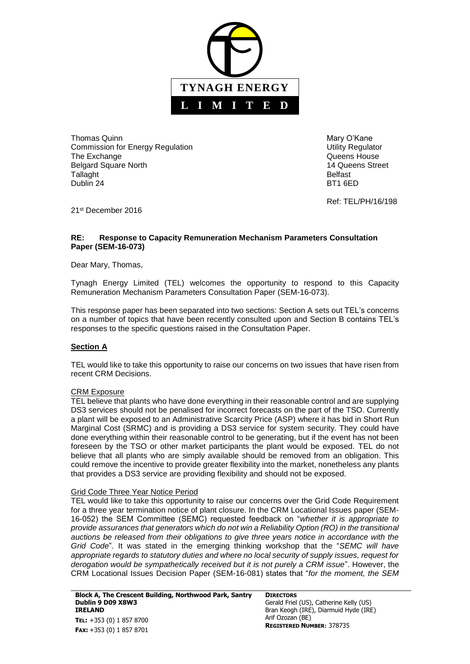

Thomas Quinn Mary O'Kane Commission for Energy Regulation **Energy Regulation** Commission for Energy Regulation The Exchange **The Exchange CONSISTENT CONSISTENT CONSISTENT Queens House** Belgard Square North 14 Queens Street Tallaght **Belfast** Dublin 24 BT1 6ED

Ref: TEL/PH/16/198

21<sup>st</sup> December 2016

#### **RE: Response to Capacity Remuneration Mechanism Parameters Consultation Paper (SEM-16-073)**

Dear Mary, Thomas,

Tynagh Energy Limited (TEL) welcomes the opportunity to respond to this Capacity Remuneration Mechanism Parameters Consultation Paper (SEM-16-073).

This response paper has been separated into two sections: Section A sets out TEL's concerns on a number of topics that have been recently consulted upon and Section B contains TEL's responses to the specific questions raised in the Consultation Paper.

### **Section A**

TEL would like to take this opportunity to raise our concerns on two issues that have risen from recent CRM Decisions.

### CRM Exposure

TEL believe that plants who have done everything in their reasonable control and are supplying DS3 services should not be penalised for incorrect forecasts on the part of the TSO. Currently a plant will be exposed to an Administrative Scarcity Price (ASP) where it has bid in Short Run Marginal Cost (SRMC) and is providing a DS3 service for system security. They could have done everything within their reasonable control to be generating, but if the event has not been foreseen by the TSO or other market participants the plant would be exposed. TEL do not believe that all plants who are simply available should be removed from an obligation. This could remove the incentive to provide greater flexibility into the market, nonetheless any plants that provides a DS3 service are providing flexibility and should not be exposed.

#### Grid Code Three Year Notice Period

TEL would like to take this opportunity to raise our concerns over the Grid Code Requirement for a three year termination notice of plant closure. In the CRM Locational Issues paper (SEM-16-052) the SEM Committee (SEMC) requested feedback on "*whether it is appropriate to provide assurances that generators which do not win a Reliability Option (RO) in the transitional auctions be released from their obligations to give three years notice in accordance with the Grid Code*". It was stated in the emerging thinking workshop that the "*SEMC will have appropriate regards to statutory duties and where no local security of supply issues, request for derogation would be sympathetically received but it is not purely a CRM issue*". However, the CRM Locational Issues Decision Paper (SEM-16-081) states that "*for the moment, the SEM* 

**Block A, The Crescent Building, Northwood Park, Santry Dublin 9 D09 X8W3 IRELAND TEL:** +353 (0) 1 857 8700 **FAX:** +353 (0) 1 857 8701

**DIRECTORS** Gerald Friel (US), Catherine Kelly (US) Bran Keogh (IRE), Diarmuid Hyde (IRE) Arif Ozozan (BE) **REGISTERED NUMBER:** 378735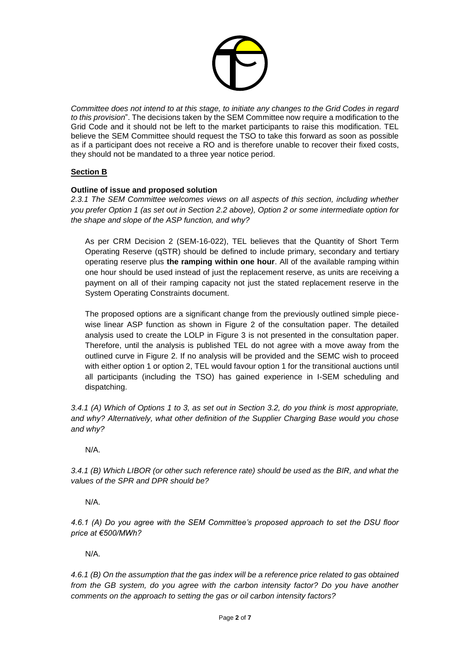

*Committee does not intend to at this stage, to initiate any changes to the Grid Codes in regard to this provision*". The decisions taken by the SEM Committee now require a modification to the Grid Code and it should not be left to the market participants to raise this modification. TEL believe the SEM Committee should request the TSO to take this forward as soon as possible as if a participant does not receive a RO and is therefore unable to recover their fixed costs, they should not be mandated to a three year notice period.

# **Section B**

### **Outline of issue and proposed solution**

*2.3.1 The SEM Committee welcomes views on all aspects of this section, including whether you prefer Option 1 (as set out in Section 2.2 above), Option 2 or some intermediate option for the shape and slope of the ASP function, and why?*

As per CRM Decision 2 (SEM-16-022), TEL believes that the Quantity of Short Term Operating Reserve (qSTR) should be defined to include primary, secondary and tertiary operating reserve plus **the ramping within one hour**. All of the available ramping within one hour should be used instead of just the replacement reserve, as units are receiving a payment on all of their ramping capacity not just the stated replacement reserve in the System Operating Constraints document.

The proposed options are a significant change from the previously outlined simple piecewise linear ASP function as shown in Figure 2 of the consultation paper. The detailed analysis used to create the LOLP in Figure 3 is not presented in the consultation paper. Therefore, until the analysis is published TEL do not agree with a move away from the outlined curve in Figure 2. If no analysis will be provided and the SEMC wish to proceed with either option 1 or option 2, TEL would favour option 1 for the transitional auctions until all participants (including the TSO) has gained experience in I-SEM scheduling and dispatching.

*3.4.1 (A) Which of Options 1 to 3, as set out in Section 3.2, do you think is most appropriate, and why? Alternatively, what other definition of the Supplier Charging Base would you chose and why?*

N/A.

*3.4.1 (B) Which LIBOR (or other such reference rate) should be used as the BIR, and what the values of the SPR and DPR should be?*

N/A.

*4.6.1 (A) Do you agree with the SEM Committee's proposed approach to set the DSU floor price at €500/MWh?*

N/A.

*4.6.1 (B) On the assumption that the gas index will be a reference price related to gas obtained from the GB system, do you agree with the carbon intensity factor? Do you have another comments on the approach to setting the gas or oil carbon intensity factors?*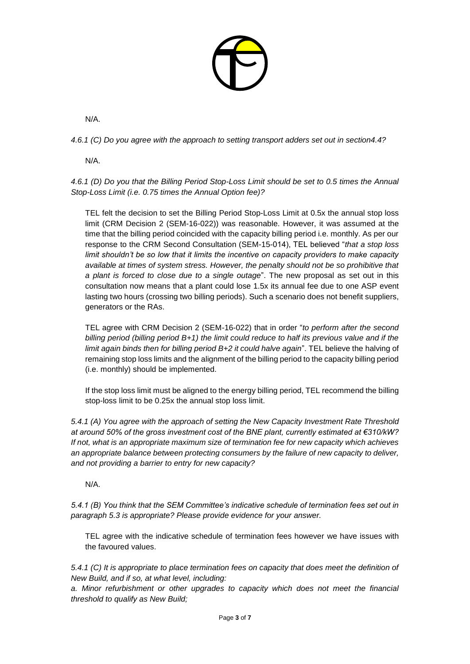

N/A.

*4.6.1 (C) Do you agree with the approach to setting transport adders set out in section4.4?*

N/A.

*4.6.1 (D) Do you that the Billing Period Stop-Loss Limit should be set to 0.5 times the Annual Stop-Loss Limit (i.e. 0.75 times the Annual Option fee)?*

TEL felt the decision to set the Billing Period Stop-Loss Limit at 0.5x the annual stop loss limit (CRM Decision 2 (SEM-16-022)) was reasonable. However, it was assumed at the time that the billing period coincided with the capacity billing period i.e. monthly. As per our response to the CRM Second Consultation (SEM-15-014), TEL believed "*that a stop loss limit shouldn't be so low that it limits the incentive on capacity providers to make capacity available at times of system stress. However, the penalty should not be so prohibitive that a plant is forced to close due to a single outage*". The new proposal as set out in this consultation now means that a plant could lose 1.5x its annual fee due to one ASP event lasting two hours (crossing two billing periods). Such a scenario does not benefit suppliers, generators or the RAs.

TEL agree with CRM Decision 2 (SEM-16-022) that in order "*to perform after the second billing period (billing period B+1) the limit could reduce to half its previous value and if the limit again binds then for billing period B+2 it could halve again*". TEL believe the halving of remaining stop loss limits and the alignment of the billing period to the capacity billing period (i.e. monthly) should be implemented.

If the stop loss limit must be aligned to the energy billing period, TEL recommend the billing stop-loss limit to be 0.25x the annual stop loss limit.

*5.4.1 (A) You agree with the approach of setting the New Capacity Investment Rate Threshold at around 50% of the gross investment cost of the BNE plant, currently estimated at €310/kW? If not, what is an appropriate maximum size of termination fee for new capacity which achieves an appropriate balance between protecting consumers by the failure of new capacity to deliver, and not providing a barrier to entry for new capacity?*

N/A.

*5.4.1 (B) You think that the SEM Committee's indicative schedule of termination fees set out in paragraph 5.3 is appropriate? Please provide evidence for your answer.*

TEL agree with the indicative schedule of termination fees however we have issues with the favoured values.

*5.4.1 (C) It is appropriate to place termination fees on capacity that does meet the definition of New Build, and if so, at what level, including:*

*a. Minor refurbishment or other upgrades to capacity which does not meet the financial threshold to qualify as New Build;*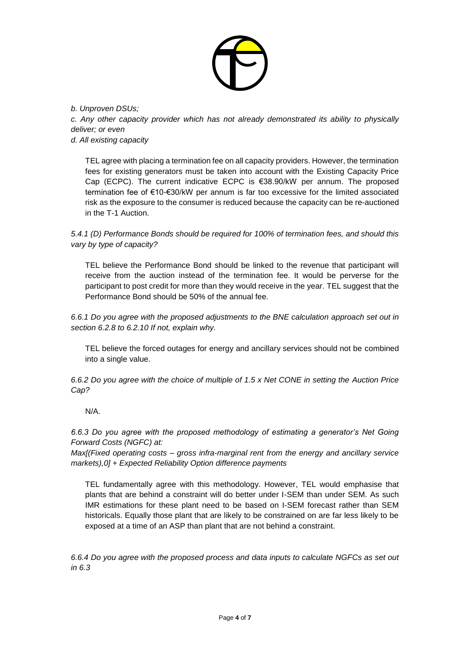

*b. Unproven DSUs; c. Any other capacity provider which has not already demonstrated its ability to physically deliver; or even d. All existing capacity*

TEL agree with placing a termination fee on all capacity providers. However, the termination fees for existing generators must be taken into account with the Existing Capacity Price Cap (ECPC). The current indicative ECPC is €38.90/kW per annum. The proposed termination fee of €10-€30/kW per annum is far too excessive for the limited associated risk as the exposure to the consumer is reduced because the capacity can be re-auctioned in the T-1 Auction.

*5.4.1 (D) Performance Bonds should be required for 100% of termination fees, and should this vary by type of capacity?*

TEL believe the Performance Bond should be linked to the revenue that participant will receive from the auction instead of the termination fee. It would be perverse for the participant to post credit for more than they would receive in the year. TEL suggest that the Performance Bond should be 50% of the annual fee.

*6.6.1 Do you agree with the proposed adjustments to the BNE calculation approach set out in section 6.2.8 to 6.2.10 If not, explain why.*

TEL believe the forced outages for energy and ancillary services should not be combined into a single value.

*6.6.2 Do you agree with the choice of multiple of 1.5 x Net CONE in setting the Auction Price Cap?*

# N/A.

*6.6.3 Do you agree with the proposed methodology of estimating a generator's Net Going Forward Costs (NGFC) at:*

*Max[(Fixed operating costs – gross infra-marginal rent from the energy and ancillary service markets),0] + Expected Reliability Option difference payments*

TEL fundamentally agree with this methodology. However, TEL would emphasise that plants that are behind a constraint will do better under I-SEM than under SEM. As such IMR estimations for these plant need to be based on I-SEM forecast rather than SEM historicals. Equally those plant that are likely to be constrained on are far less likely to be exposed at a time of an ASP than plant that are not behind a constraint.

*6.6.4 Do you agree with the proposed process and data inputs to calculate NGFCs as set out in 6.3*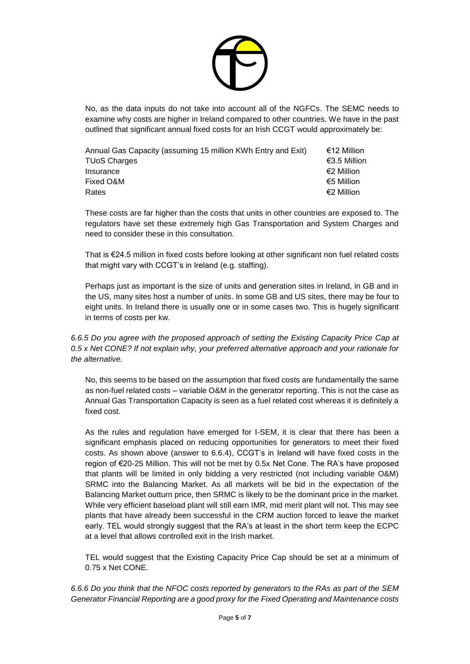

No, as the data inputs do not take into account all of the NGFCs. The SEMC needs to examine why costs are higher in Ireland compared to other countries. We have in the past outlined that significant annual fixed costs for an Irish CCGT would approximately be:

| Annual Gas Capacity (assuming 15 million KWh Entry and Exit) | €12 Million  |
|--------------------------------------------------------------|--------------|
| TUoS Charges                                                 | €3.5 Million |
| Insurance                                                    | €2 Million   |
| Fixed O&M                                                    | €5 Million   |
| Rates                                                        | €2 Million   |
|                                                              |              |

These costs are far higher than the costs that units in other countries are exposed to. The regulators have set these extremely high Gas Transportation and System Charges and need to consider these in this consultation.

That is €24.5 million in fixed costs before looking at other significant non fuel related costs that might vary with CCGT's in Ireland (e.g. staffing).

Perhaps just as important is the size of units and generation sites in Ireland, in GB and in the US, many sites host a number of units. In some GB and US sites, there may be four to eight units. In Ireland there is usually one or in some cases two. This is hugely significant in terms of costs per kw.

# *6.6.5 Do you agree with the proposed approach of setting the Existing Capacity Price Cap at 0.5 x Net CONE? If not explain why, your preferred alternative approach and your rationale for the alternative.*

No, this seems to be based on the assumption that fixed costs are fundamentally the same as non-fuel related costs – variable O&M in the generator reporting. This is not the case as Annual Gas Transportation Capacity is seen as a fuel related cost whereas it is definitely a fixed cost.

As the rules and regulation have emerged for I-SEM, it is clear that there has been a significant emphasis placed on reducing opportunities for generators to meet their fixed costs. As shown above (answer to 6.6.4), CCGT's in Ireland will have fixed costs in the region of €20-25 Million. This will not be met by 0.5x Net Cone. The RA's have proposed that plants will be limited in only bidding a very restricted (not including variable O&M) SRMC into the Balancing Market. As all markets will be bid in the expectation of the Balancing Market outturn price, then SRMC is likely to be the dominant price in the market. While very efficient baseload plant will still earn IMR, mid merit plant will not. This may see plants that have already been successful in the CRM auction forced to leave the market early. TEL would strongly suggest that the RA's at least in the short term keep the ECPC at a level that allows controlled exit in the Irish market.

TEL would suggest that the Existing Capacity Price Cap should be set at a minimum of 0.75 x Net CONE.

*6.6.6 Do you think that the NFOC costs reported by generators to the RAs as part of the SEM Generator Financial Reporting are a good proxy for the Fixed Operating and Maintenance costs*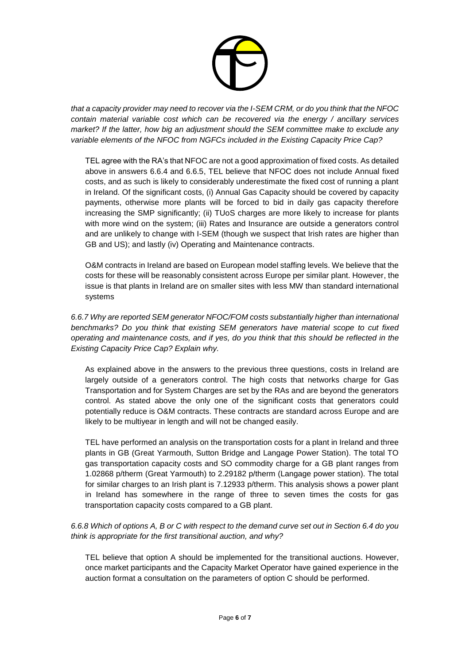

*that a capacity provider may need to recover via the I-SEM CRM, or do you think that the NFOC contain material variable cost which can be recovered via the energy / ancillary services market? If the latter, how big an adjustment should the SEM committee make to exclude any variable elements of the NFOC from NGFCs included in the Existing Capacity Price Cap?*

TEL agree with the RA's that NFOC are not a good approximation of fixed costs. As detailed above in answers 6.6.4 and 6.6.5, TEL believe that NFOC does not include Annual fixed costs, and as such is likely to considerably underestimate the fixed cost of running a plant in Ireland. Of the significant costs, (i) Annual Gas Capacity should be covered by capacity payments, otherwise more plants will be forced to bid in daily gas capacity therefore increasing the SMP significantly; (ii) TUoS charges are more likely to increase for plants with more wind on the system; (iii) Rates and Insurance are outside a generators control and are unlikely to change with I-SEM (though we suspect that Irish rates are higher than GB and US); and lastly (iv) Operating and Maintenance contracts.

O&M contracts in Ireland are based on European model staffing levels. We believe that the costs for these will be reasonably consistent across Europe per similar plant. However, the issue is that plants in Ireland are on smaller sites with less MW than standard international systems

*6.6.7 Why are reported SEM generator NFOC/FOM costs substantially higher than international benchmarks? Do you think that existing SEM generators have material scope to cut fixed operating and maintenance costs, and if yes, do you think that this should be reflected in the Existing Capacity Price Cap? Explain why.*

As explained above in the answers to the previous three questions, costs in Ireland are largely outside of a generators control. The high costs that networks charge for Gas Transportation and for System Charges are set by the RAs and are beyond the generators control. As stated above the only one of the significant costs that generators could potentially reduce is O&M contracts. These contracts are standard across Europe and are likely to be multiyear in length and will not be changed easily.

TEL have performed an analysis on the transportation costs for a plant in Ireland and three plants in GB (Great Yarmouth, Sutton Bridge and Langage Power Station). The total TO gas transportation capacity costs and SO commodity charge for a GB plant ranges from 1.02868 p/therm (Great Yarmouth) to 2.29182 p/therm (Langage power station). The total for similar charges to an Irish plant is 7.12933 p/therm. This analysis shows a power plant in Ireland has somewhere in the range of three to seven times the costs for gas transportation capacity costs compared to a GB plant.

# *6.6.8 Which of options A, B or C with respect to the demand curve set out in Section 6.4 do you think is appropriate for the first transitional auction, and why?*

TEL believe that option A should be implemented for the transitional auctions. However, once market participants and the Capacity Market Operator have gained experience in the auction format a consultation on the parameters of option C should be performed.